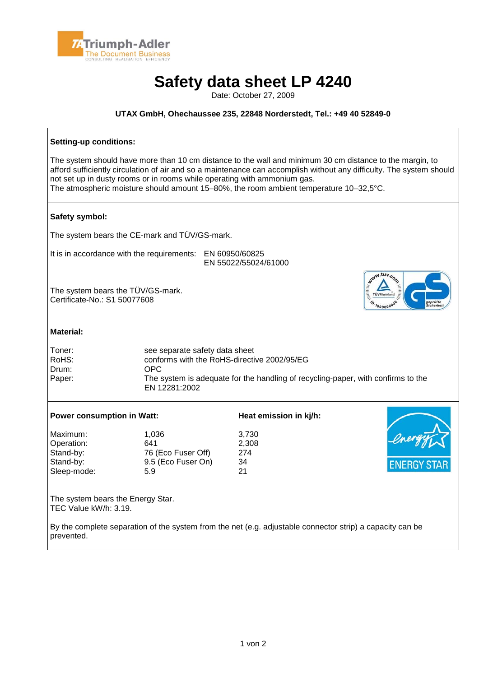

## **Safety data sheet LP 4240**

Date: October 27, 2009

## **UTAX GmbH, Ohechaussee 235, 22848 Norderstedt, Tel.: +49 40 52849-0**

| Setting-up conditions:                                                                                                                                                                                                                                                                                                                                                                                 |                                                                                                                                                                                            |                                   |  |  |
|--------------------------------------------------------------------------------------------------------------------------------------------------------------------------------------------------------------------------------------------------------------------------------------------------------------------------------------------------------------------------------------------------------|--------------------------------------------------------------------------------------------------------------------------------------------------------------------------------------------|-----------------------------------|--|--|
| The system should have more than 10 cm distance to the wall and minimum 30 cm distance to the margin, to<br>afford sufficiently circulation of air and so a maintenance can accomplish without any difficulty. The system should<br>not set up in dusty rooms or in rooms while operating with ammonium gas.<br>The atmospheric moisture should amount 15-80%, the room ambient temperature 10-32,5°C. |                                                                                                                                                                                            |                                   |  |  |
| Safety symbol:                                                                                                                                                                                                                                                                                                                                                                                         |                                                                                                                                                                                            |                                   |  |  |
| The system bears the CE-mark and TÜV/GS-mark.                                                                                                                                                                                                                                                                                                                                                          |                                                                                                                                                                                            |                                   |  |  |
| It is in accordance with the requirements: EN 60950/60825<br>EN 55022/55024/61000                                                                                                                                                                                                                                                                                                                      |                                                                                                                                                                                            |                                   |  |  |
| NWW.tuv.com<br>The system bears the TÜV/GS-mark.<br>Certificate-No.: S1 50077608                                                                                                                                                                                                                                                                                                                       |                                                                                                                                                                                            |                                   |  |  |
| <b>Material:</b>                                                                                                                                                                                                                                                                                                                                                                                       |                                                                                                                                                                                            |                                   |  |  |
| Toner:<br>RoHS:<br>Drum:<br>Paper:                                                                                                                                                                                                                                                                                                                                                                     | see separate safety data sheet<br>conforms with the RoHS-directive 2002/95/EG<br>OPC.<br>The system is adequate for the handling of recycling-paper, with confirms to the<br>EN 12281:2002 |                                   |  |  |
| <b>Power consumption in Watt:</b>                                                                                                                                                                                                                                                                                                                                                                      |                                                                                                                                                                                            | Heat emission in kj/h:            |  |  |
| Maximum:<br>Operation:<br>Stand-by:<br>Stand-by:<br>Sleep-mode:                                                                                                                                                                                                                                                                                                                                        | 1,036<br>641<br>76 (Eco Fuser Off)<br>9.5 (Eco Fuser On)<br>5.9                                                                                                                            | 3,730<br>2,308<br>274<br>34<br>21 |  |  |
| The system bears the Energy Star.<br>TEC Value kW/h: 3.19.                                                                                                                                                                                                                                                                                                                                             |                                                                                                                                                                                            |                                   |  |  |
| By the complete separation of the system from the net (e.g. adjustable connector strip) a capacity can be<br>prevented.                                                                                                                                                                                                                                                                                |                                                                                                                                                                                            |                                   |  |  |